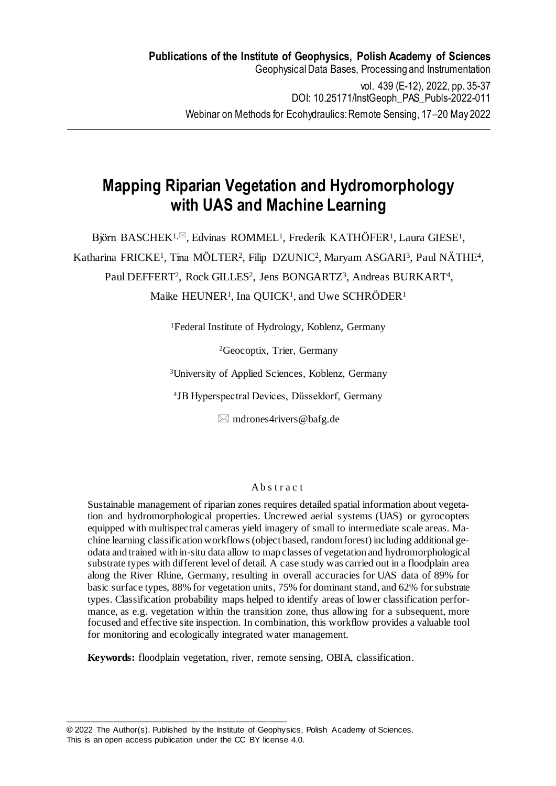# **Mapping Riparian Vegetation and Hydromorphology with UAS and Machine Learning**

Björn BASCHEK<sup>1, $\boxtimes$ </sup>, Edvinas ROMMEL<sup>1</sup>, Frederik KATHÖFER<sup>1</sup>, Laura GIESE<sup>1</sup>, Katharina FRICKE<sup>1</sup>, Tina MÖLTER<sup>2</sup>, Filip DZUNIC<sup>2</sup>, Maryam ASGARI<sup>3</sup>, Paul NÄTHE<sup>4</sup>, Paul DEFFERT<sup>2</sup>, Rock GILLES<sup>2</sup>, Jens BONGARTZ<sup>3</sup>, Andreas BURKART<sup>4</sup>, Maike HEUNER<sup>1</sup>, Ina QUICK<sup>1</sup>, and Uwe SCHRÖDER<sup>1</sup>

<sup>1</sup>Federal Institute of Hydrology, Koblenz, Germany

<sup>2</sup>Geocoptix, Trier, Germany

<sup>3</sup>University of Applied Sciences, Koblenz, Germany

<sup>4</sup>JB Hyperspectral Devices, Düsseldorf, Germany

 $\boxtimes$  mdrones4rivers@bafg.de

## Abstract

Sustainable management of riparian zones requires detailed spatial information about vegetation and hydromorphological properties. Uncrewed aerial systems (UAS) or gyrocopters equipped with multispectral cameras yield imagery of small to intermediate scale areas. Machine learning classification workflows (object based, random forest) including additional geodata and trained with in-situ data allow to map classes of vegetation and hydromorphological substrate types with different level of detail. A case study was carried out in a floodplain area along the River Rhine, Germany, resulting in overall accuracies for UAS data of 89% for basic surface types, 88% for vegetation units, 75% for dominant stand, and 62% for substrate types. Classification probability maps helped to identify areas of lower classification performance, as e.g. vegetation within the transition zone, thus allowing for a subsequent, more focused and effective site inspection. In combination, this workflow provides a valuable tool for monitoring and ecologically integrated water management.

**Keywords:** floodplain vegetation, river, remote sensing, OBIA, classification.

© 2022 The Author(s). Published by the Institute of Geophysics, Polish Academy of Sciences. This is an open access publication under the CC BY license 4.0.

\_\_\_\_\_\_\_\_\_\_\_\_\_\_\_\_\_\_\_\_\_\_\_\_\_\_\_\_\_\_\_\_\_\_\_\_\_\_\_\_\_\_\_\_\_\_\_\_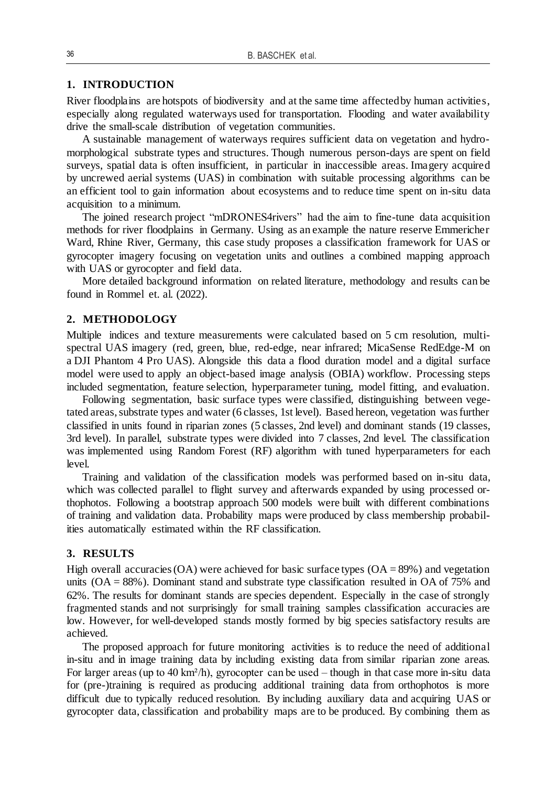### **1. INTRODUCTION**

River floodplains are hotspots of biodiversity and at the same time affected by human activities, especially along regulated waterways used for transportation. Flooding and water availability drive the small-scale distribution of vegetation communities.

A sustainable management of waterways requires sufficient data on vegetation and hydromorphological substrate types and structures. Though numerous person-days are spent on field surveys, spatial data is often insufficient, in particular in inaccessible areas. Imagery acquired by uncrewed aerial systems (UAS) in combination with suitable processing algorithms can be an efficient tool to gain information about ecosystems and to reduce time spent on in-situ data acquisition to a minimum.

The joined research project "mDRONES4rivers" had the aim to fine-tune data acquisition methods for river floodplains in Germany. Using as an example the nature reserve Emmericher Ward, Rhine River, Germany, this case study proposes a classification framework for UAS or gyrocopter imagery focusing on vegetation units and outlines a combined mapping approach with UAS or gyrocopter and field data.

More detailed background information on related literature, methodology and results can be found in Rommel et. al. (2022).

#### **2. METHODOLOGY**

Multiple indices and texture measurements were calculated based on 5 cm resolution, multispectral UAS imagery (red, green, blue, red-edge, near infrared; MicaSense RedEdge-M on a DJI Phantom 4 Pro UAS). Alongside this data a flood duration model and a digital surface model were used to apply an object-based image analysis (OBIA) workflow. Processing steps included segmentation, feature selection, hyperparameter tuning, model fitting, and evaluation.

Following segmentation, basic surface types were classified, distinguishing between vegetated areas, substrate types and water (6 classes, 1st level). Based hereon, vegetation was further classified in units found in riparian zones (5 classes, 2nd level) and dominant stands (19 classes, 3rd level). In parallel, substrate types were divided into 7 classes, 2nd level. The classification was implemented using Random Forest (RF) algorithm with tuned hyperparameters for each level.

Training and validation of the classification models was performed based on in-situ data, which was collected parallel to flight survey and afterwards expanded by using processed orthophotos. Following a bootstrap approach 500 models were built with different combinations of training and validation data. Probability maps were produced by class membership probabilities automatically estimated within the RF classification.

## **3. RESULTS**

High overall accuracies (OA) were achieved for basic surface types  $(OA = 89%)$  and vegetation units (OA = 88%). Dominant stand and substrate type classification resulted in OA of 75% and 62%. The results for dominant stands are species dependent. Especially in the case of strongly fragmented stands and not surprisingly for small training samples classification accuracies are low. However, for well-developed stands mostly formed by big species satisfactory results are achieved.

The proposed approach for future monitoring activities is to reduce the need of additional in-situ and in image training data by including existing data from similar riparian zone areas. For larger areas (up to 40 km<sup>2</sup>/h), gyrocopter can be used – though in that case more in-situ data for (pre-)training is required as producing additional training data from orthophotos is more difficult due to typically reduced resolution. By including auxiliary data and acquiring UAS or gyrocopter data, classification and probability maps are to be produced. By combining them as